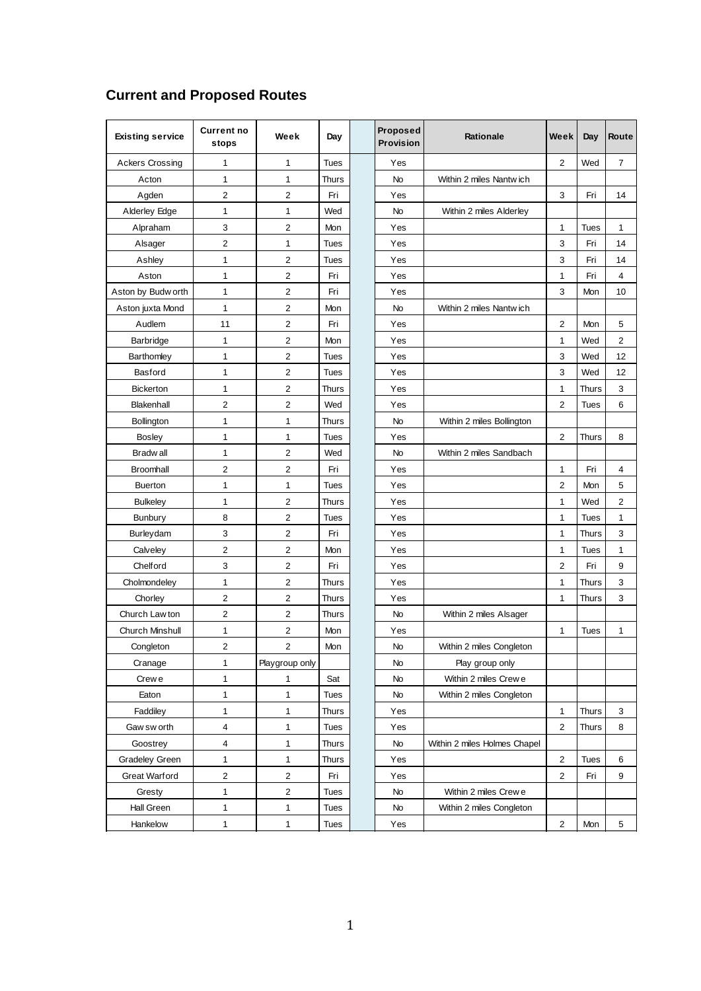| <b>Existing service</b> | <b>Current no</b><br>stops | Week                    | Day          | Proposed<br>Provision | <b>Rationale</b>             | Week           | Day          | Route          |
|-------------------------|----------------------------|-------------------------|--------------|-----------------------|------------------------------|----------------|--------------|----------------|
| <b>Ackers Crossing</b>  | 1                          | 1                       | <b>Tues</b>  | Yes                   |                              | $\overline{2}$ | Wed          | $\overline{7}$ |
| Acton                   | 1                          | 1                       | <b>Thurs</b> | No                    | Within 2 miles Nantwich      |                |              |                |
| Agden                   | 2                          | $\overline{2}$          | Fri          | Yes                   |                              | 3              | Fri          | 14             |
| Alderley Edge           | 1                          | 1                       | Wed          | <b>No</b>             | Within 2 miles Alderley      |                |              |                |
| Alpraham                | 3                          | $\overline{2}$          | Mon          | Yes                   |                              | $\mathbf{1}$   | <b>Tues</b>  | $\mathbf{1}$   |
| Alsager                 | 2                          | 1                       | Tues         | Yes                   |                              | 3              | Fri          | 14             |
| Ashley                  | 1                          | $\mathbf 2$             | Tues         | Yes                   |                              | 3              | Fri          | 14             |
| Aston                   | 1                          | $\overline{2}$          | Fri          | Yes                   |                              | 1              | Fri          | $\overline{4}$ |
| Aston by Budw orth      | 1                          | 2                       | Fri          | Yes                   |                              | 3              | Mon          | 10             |
| Aston juxta Mond        | $\mathbf{1}$               | $\overline{c}$          | Mon          | No                    | Within 2 miles Nantwich      |                |              |                |
| Audlem                  | 11                         | $\overline{\mathbf{c}}$ | Fri          | Yes                   |                              | 2              | Mon          | 5              |
| Barbridge               | 1                          | $\overline{\mathbf{c}}$ | Mon          | Yes                   |                              | 1              | Wed          | $\overline{2}$ |
| Barthomley              | 1                          | $\overline{\mathbf{c}}$ | <b>Tues</b>  | Yes                   |                              | 3              | Wed          | 12             |
| Basford                 | 1                          | $\mathbf 2$             | Tues         | Yes                   |                              | 3              | Wed          | 12             |
| <b>Bickerton</b>        | 1                          | 2                       | <b>Thurs</b> | Yes                   |                              | $\mathbf{1}$   | Thurs        | $\sqrt{3}$     |
| Blakenhall              | 2                          | $\overline{2}$          | Wed          | Yes                   |                              | $\overline{2}$ | Tues         | 6              |
| Bollington              | $\mathbf{1}$               | 1                       | Thurs        | No                    | Within 2 miles Bollington    |                |              |                |
| <b>Bosley</b>           | 1                          | 1                       | Tues         | Yes                   |                              | 2              | <b>Thurs</b> | 8              |
| Bradw all               | 1                          | $\overline{\mathbf{c}}$ | Wed          | No                    | Within 2 miles Sandbach      |                |              |                |
| Broomhall               | $\overline{2}$             | $\overline{\mathbf{c}}$ | Fri          | Yes                   |                              | 1              | Fri          | 4              |
| <b>Buerton</b>          | 1                          | $\mathbf{1}$            | Tues         | Yes                   |                              | 2              | Mon          | 5              |
| <b>Bulkeley</b>         | 1                          | 2                       | Thurs        | Yes                   |                              | $\mathbf{1}$   | Wed          | $\sqrt{2}$     |
| Bunbury                 | 8                          | $\overline{2}$          | <b>Tues</b>  | Yes                   |                              | 1              | <b>Tues</b>  | $\mathbf{1}$   |
| Burleydam               | 3                          | 2                       | Fri          | Yes                   |                              | 1              | Thurs        | 3              |
| Calveley                | 2                          | 2                       | Mon          | Yes                   |                              | 1              | Tues         | $\mathbf{1}$   |
| Chelford                | 3                          | $\overline{c}$          | Fri          | Yes                   |                              | $\overline{2}$ | Fri          | 9              |
| Cholmondeley            | 1                          | $\overline{\mathbf{c}}$ | Thurs        | Yes                   |                              | 1              | <b>Thurs</b> | 3              |
| Chorley                 | 2                          | $\sqrt{2}$              | <b>Thurs</b> | Yes                   |                              | 1              | <b>Thurs</b> | 3              |
| Church Law ton          | 2                          | 2                       | Thurs        | No                    | Within 2 miles Alsager       |                |              |                |
| Church Minshull         | 1                          | 2                       | Mon          | Yes                   |                              | 1              | Tues         | $\mathbf{1}$   |
| Congleton               | 2                          | 2                       | Mon          | No                    | Within 2 miles Congleton     |                |              |                |
| Cranage                 | 1                          | Playgroup only          |              | No                    | Play group only              |                |              |                |
| Crew e                  | $\mathbf{1}$               | $\mathbf{1}$            | Sat          | No                    | Within 2 miles Crew e        |                |              |                |
| Eaton                   | $\mathbf{1}$               | 1                       | Tues         | No                    | Within 2 miles Congleton     |                |              |                |
| Faddiley                | $\mathbf{1}$               | $\mathbf{1}$            | Thurs        | Yes                   |                              | $\mathbf{1}$   | Thurs        | 3              |
| Gaw sw orth             | 4                          | 1                       | Tues         | Yes                   |                              | $\overline{2}$ | <b>Thurs</b> | 8              |
| Goostrey                | 4                          | 1                       | <b>Thurs</b> | No                    | Within 2 miles Holmes Chapel |                |              |                |
| Gradeley Green          | $\mathbf{1}$               | $\mathbf{1}$            | Thurs        | Yes                   |                              | $\overline{2}$ | Tues         | 6              |
| Great Warford           | $\overline{\mathbf{c}}$    | $\mathbf 2$             | Fri          | Yes                   |                              | $\overline{c}$ | Fri          | 9              |
| Gresty                  | $\mathbf{1}$               | $\mathbf 2$             | <b>Tues</b>  | No                    | Within 2 miles Crew e        |                |              |                |
| Hall Green              | $\mathbf{1}$               | 1                       | <b>Tues</b>  | No                    | Within 2 miles Congleton     |                |              |                |
| Hankelow                | $\mathbf{1}$               | $\mathbf{1}$            | <b>Tues</b>  | Yes                   |                              | $\overline{2}$ | Mon          | 5              |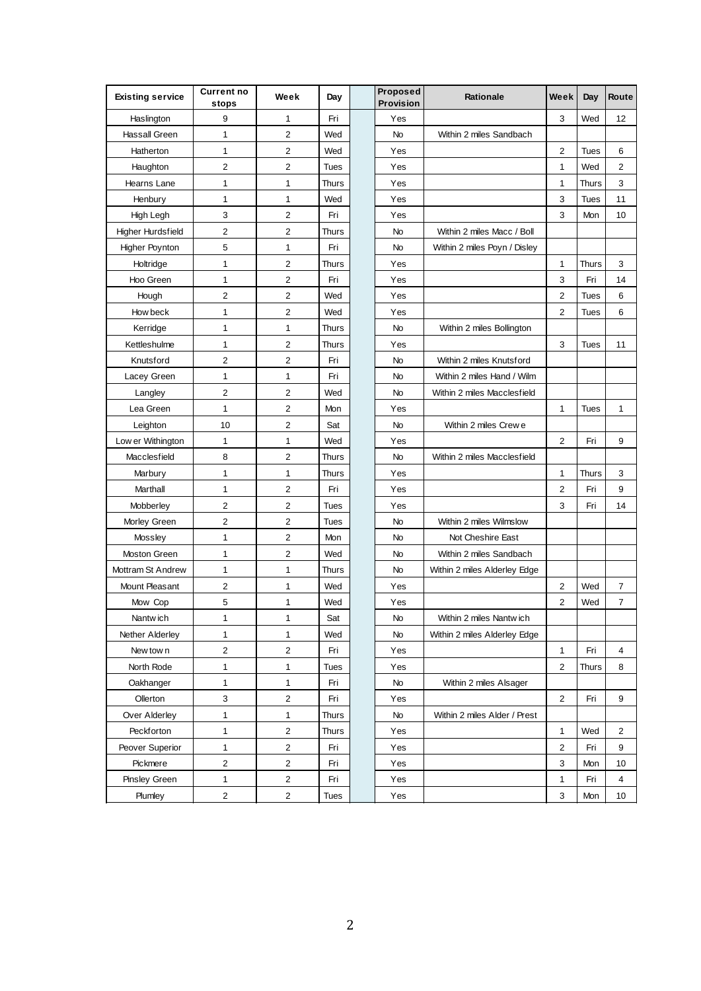| <b>Existing service</b>  | <b>Current no</b><br>stops | Week                    | Day          | Proposed<br>Provision | Rationale                    | Week                    | Day          | Route          |
|--------------------------|----------------------------|-------------------------|--------------|-----------------------|------------------------------|-------------------------|--------------|----------------|
| Haslington               | 9                          | 1                       | Fri          | Yes                   |                              | 3                       | Wed          | 12             |
| Hassall Green            | $\mathbf{1}$               | $\overline{c}$          | Wed          | No                    | Within 2 miles Sandbach      |                         |              |                |
| Hatherton                | $\mathbf{1}$               | 2                       | Wed          | Yes                   |                              | 2                       | Tues         | 6              |
| Haughton                 | $\overline{2}$             | 2                       | <b>Tues</b>  | Yes                   |                              | 1                       | Wed          | 2              |
| Hearns Lane              | 1                          | 1                       | <b>Thurs</b> | Yes                   |                              | $\mathbf{1}$            | <b>Thurs</b> | 3              |
| Henbury                  | $\mathbf{1}$               | 1                       | Wed          | Yes                   |                              | 3                       | <b>Tues</b>  | 11             |
| High Legh                | $\ensuremath{\mathsf{3}}$  | $\overline{c}$          | Fri          | Yes                   |                              | 3                       | Mon          | 10             |
| <b>Higher Hurdsfield</b> | $\overline{2}$             | $\overline{c}$          | <b>Thurs</b> | No                    | Within 2 miles Macc / Boll   |                         |              |                |
| <b>Higher Poynton</b>    | 5                          | 1                       | Fri          | No                    | Within 2 miles Poyn / Disley |                         |              |                |
| Holtridge                | $\mathbf{1}$               | 2                       | Thurs        | Yes                   |                              | 1                       | Thurs        | 3              |
| Hoo Green                | $\mathbf{1}$               | $\overline{c}$          | Fri          | Yes                   |                              | 3                       | Fri          | 14             |
| Hough                    | $\overline{2}$             | $\overline{c}$          | Wed          | Yes                   |                              | $\overline{c}$          | <b>Tues</b>  | 6              |
| How beck                 | $\mathbf{1}$               | 2                       | Wed          | Yes                   |                              | 2                       | <b>Tues</b>  | 6              |
| Kerridge                 | $\mathbf{1}$               | 1                       | <b>Thurs</b> | No                    | Within 2 miles Bollington    |                         |              |                |
| Kettleshulme             | $\mathbf{1}$               | 2                       | <b>Thurs</b> | Yes                   |                              | 3                       | <b>Tues</b>  | 11             |
| Knutsford                | $\overline{2}$             | $\overline{c}$          | Fri          | No                    | Within 2 miles Knutsford     |                         |              |                |
| Lacey Green              | $\mathbf{1}$               | 1                       | Fri          | No                    | Within 2 miles Hand / Wilm   |                         |              |                |
| Langley                  | $\overline{c}$             | $\overline{2}$          | Wed          | No                    | Within 2 miles Macclesfield  |                         |              |                |
| Lea Green                | $\mathbf{1}$               | $\overline{c}$          | Mon          | Yes                   |                              | $\mathbf{1}$            | <b>Tues</b>  | $\mathbf{1}$   |
| Leighton                 | 10                         | $\overline{2}$          | Sat          | No                    | Within 2 miles Crew e        |                         |              |                |
| Low er Withington        | $\mathbf{1}$               | 1                       | Wed          | Yes                   |                              | $\overline{2}$          | Fri          | 9              |
| Macclesfield             | 8                          | 2                       | <b>Thurs</b> | No                    | Within 2 miles Macclesfield  |                         |              |                |
| Marbury                  | 1                          | 1                       | <b>Thurs</b> | Yes                   |                              | 1                       | Thurs        | 3              |
| Marthall                 | $\mathbf{1}$               | 2                       | Fri          | Yes                   |                              | $\overline{\mathbf{c}}$ | Fri          | 9              |
| Mobberley                | $\mathbf 2$                | $\overline{2}$          | <b>Tues</b>  | Yes                   |                              | 3                       | Fri          | 14             |
| Morley Green             | $\overline{2}$             | $\overline{c}$          | Tues         | No                    | Within 2 miles Wilmslow      |                         |              |                |
| Mossley                  | $\mathbf{1}$               | $\overline{c}$          | Mon          | No                    | Not Cheshire East            |                         |              |                |
| <b>Moston Green</b>      | $\mathbf{1}$               | 2                       | Wed          | No                    | Within 2 miles Sandbach      |                         |              |                |
| Mottram St Andrew        | $\mathbf{1}$               | 1                       | <b>Thurs</b> | No                    | Within 2 miles Alderley Edge |                         |              |                |
| Mount Pleasant           | $\mathbf 2$                | 1                       | Wed          | Yes                   |                              | $\overline{2}$          | Wed          | 7              |
| Mow Cop                  | 5                          | 1                       | Wed          | Yes                   |                              | $\overline{2}$          | Wed          | $\overline{7}$ |
| Nantwich                 | 1                          | 1                       | Sat          | No                    | Within 2 miles Nantwich      |                         |              |                |
| Nether Alderley          | $\mathbf{1}$               | 1                       | Wed          | No                    | Within 2 miles Alderley Edge |                         |              |                |
| New tow n                | $\mathbf 2$                | $\overline{\mathbf{c}}$ | Fri          | Yes                   |                              | $\mathbf{1}$            | Fri          | 4              |
| North Rode               | $\mathbf{1}$               | 1                       | Tues         | Yes                   |                              | $\overline{\mathbf{c}}$ | <b>Thurs</b> | 8              |
| Oakhanger                | $\mathbf{1}$               | $\mathbf{1}$            | Fri          | No                    | Within 2 miles Alsager       |                         |              |                |
| Ollerton                 | 3                          | $\sqrt{2}$              | Fri          | Yes                   |                              | $\overline{2}$          | Fri          | 9              |
| Over Alderley            | $\mathbf{1}$               | 1                       | <b>Thurs</b> | No                    | Within 2 miles Alder / Prest |                         |              |                |
| Peckforton               | $\mathbf{1}$               | $\overline{2}$          | Thurs        | Yes                   |                              | 1                       | Wed          | 2              |
| Peover Superior          | $\mathbf{1}$               | 2                       | Fri          | Yes                   |                              | $\mathbf 2$             | Fri          | 9              |
| Pickmere                 | $\overline{2}$             | $\mathbf 2$             | Fri          | Yes                   |                              | 3                       | Mon          | 10             |
| Pinsley Green            | 1                          | $\overline{\mathbf{c}}$ | Fri          | Yes                   |                              | $\mathbf{1}$            | Fri          | 4              |
| Plumley                  | $\overline{c}$             | $\overline{2}$          | Tues         | Yes                   |                              | 3                       | Mon          | 10             |